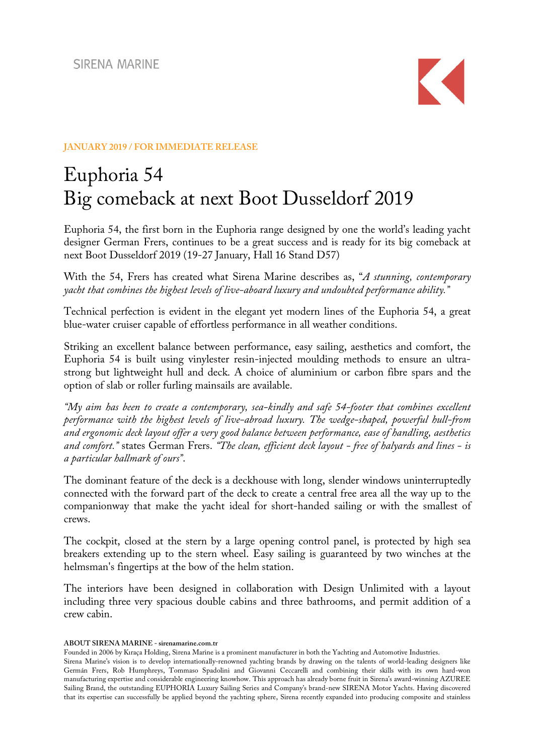

## **JANUARY 2019 / FOR IMMEDIATE RELEASE**

# Euphoria 54 Big comeback at next Boot Dusseldorf 2019

Euphoria 54, the first born in the Euphoria range designed by one the world's leading yacht designer German Frers, continues to be a great success and is ready for its big comeback at next Boot Dusseldorf 2019 (19-27 January, Hall 16 Stand D57)

With the 54, Frers has created what Sirena Marine describes as, "*A stunning, contemporary yacht that combines the highest levels of live-aboard luxury and undoubted performance ability."*

Technical perfection is evident in the elegant yet modern lines of the Euphoria 54, a great blue-water cruiser capable of effortless performance in all weather conditions.

Striking an excellent balance between performance, easy sailing, aesthetics and comfort, the Euphoria 54 is built using vinylester resin-injected moulding methods to ensure an ultrastrong but lightweight hull and deck. A choice of aluminium or carbon fibre spars and the option of slab or roller furling mainsails are available.

*"My aim has been to create a contemporary, sea-kindly and safe 54-footer that combines excellent performance with the highest levels of live-abroad luxury. The wedge-shaped, powerful hull-from and ergonomic deck layout offer a very good balance between performance, ease of handling, aesthetics and comfort."* states German Frers. *"The clean, efficient deck layout - free of halyards and lines - is a particular hallmark of ours"*.

The dominant feature of the deck is a deckhouse with long, slender windows uninterruptedly connected with the forward part of the deck to create a central free area all the way up to the companionway that make the yacht ideal for short-handed sailing or with the smallest of crews.

The cockpit, closed at the stern by a large opening control panel, is protected by high sea breakers extending up to the stern wheel. Easy sailing is guaranteed by two winches at the helmsman's fingertips at the bow of the helm station.

The interiors have been designed in collaboration with Design Unlimited with a layout including three very spacious double cabins and three bathrooms, and permit addition of a crew cabin.

**ABOUT SIRENA MARINE - sirenamarine.com.tr**

Founded in 2006 by Kıraça Holding, Sirena Marine is a prominent manufacturer in both the Yachting and Automotive Industries.

Sirena Marine's vision is to develop internationally-renowned yachting brands by drawing on the talents of world-leading designers like Germán Frers, Rob Humphreys, Tommaso Spadolini and Giovanni Ceccarelli and combining their skills with its own hard-won manufacturing expertise and considerable engineering knowhow. This approach has already borne fruit in Sirena's award-winning AZUREE Sailing Brand, the outstanding EUPHORIA Luxury Sailing Series and Company's brand-new SIRENA Motor Yachts. Having discovered that its expertise can successfully be applied beyond the yachting sphere, Sirena recently expanded into producing composite and stainless